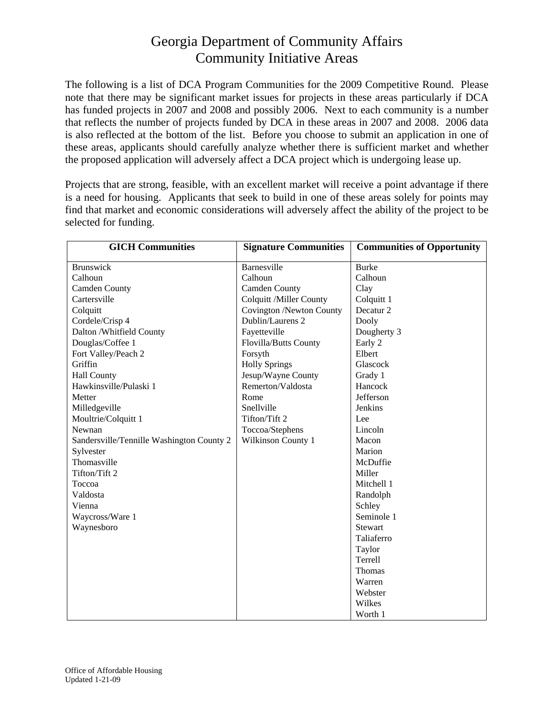## Georgia Department of Community Affairs Community Initiative Areas

The following is a list of DCA Program Communities for the 2009 Competitive Round. Please note that there may be significant market issues for projects in these areas particularly if DCA has funded projects in 2007 and 2008 and possibly 2006. Next to each community is a number that reflects the number of projects funded by DCA in these areas in 2007 and 2008. 2006 data is also reflected at the bottom of the list. Before you choose to submit an application in one of these areas, applicants should carefully analyze whether there is sufficient market and whether the proposed application will adversely affect a DCA project which is undergoing lease up.

Projects that are strong, feasible, with an excellent market will receive a point advantage if there is a need for housing. Applicants that seek to build in one of these areas solely for points may find that market and economic considerations will adversely affect the ability of the project to be selected for funding.

| <b>GICH Communities</b>                   | <b>Signature Communities</b>   | <b>Communities of Opportunity</b> |
|-------------------------------------------|--------------------------------|-----------------------------------|
| <b>Brunswick</b>                          | Barnesville                    | <b>Burke</b>                      |
| Calhoun                                   | Calhoun                        | Calhoun                           |
| <b>Camden County</b>                      | <b>Camden County</b>           | Clay                              |
| Cartersville                              | <b>Colquitt /Miller County</b> | Colquitt 1                        |
| Colquitt                                  | Covington /Newton County       | Decatur <sub>2</sub>              |
| Cordele/Crisp 4                           | Dublin/Laurens 2               | Dooly                             |
| Dalton /Whitfield County                  | Fayetteville                   | Dougherty 3                       |
| Douglas/Coffee 1                          | Flovilla/Butts County          | Early 2                           |
| Fort Valley/Peach 2                       | Forsyth                        | Elbert                            |
| Griffin                                   | <b>Holly Springs</b>           | Glascock                          |
| <b>Hall County</b>                        | Jesup/Wayne County             | Grady 1                           |
| Hawkinsville/Pulaski 1                    | Remerton/Valdosta              | Hancock                           |
| Metter                                    | Rome                           | Jefferson                         |
| Milledgeville                             | Snellville                     | Jenkins                           |
| Moultrie/Colquitt 1                       | Tifton/Tift 2                  | Lee                               |
| Newnan                                    | Toccoa/Stephens                | Lincoln                           |
| Sandersville/Tennille Washington County 2 | Wilkinson County 1             | Macon                             |
| Sylvester                                 |                                | Marion                            |
| Thomasville                               |                                | McDuffie                          |
| Tifton/Tift 2                             |                                | Miller                            |
| Toccoa                                    |                                | Mitchell 1                        |
| Valdosta                                  |                                | Randolph                          |
| Vienna                                    |                                | Schley                            |
| Waycross/Ware 1                           |                                | Seminole 1                        |
| Waynesboro                                |                                | <b>Stewart</b>                    |
|                                           |                                | Taliaferro                        |
|                                           |                                | Taylor                            |
|                                           |                                | Terrell                           |
|                                           |                                | Thomas                            |
|                                           |                                | Warren                            |
|                                           |                                | Webster                           |
|                                           |                                | Wilkes                            |
|                                           |                                | Worth 1                           |